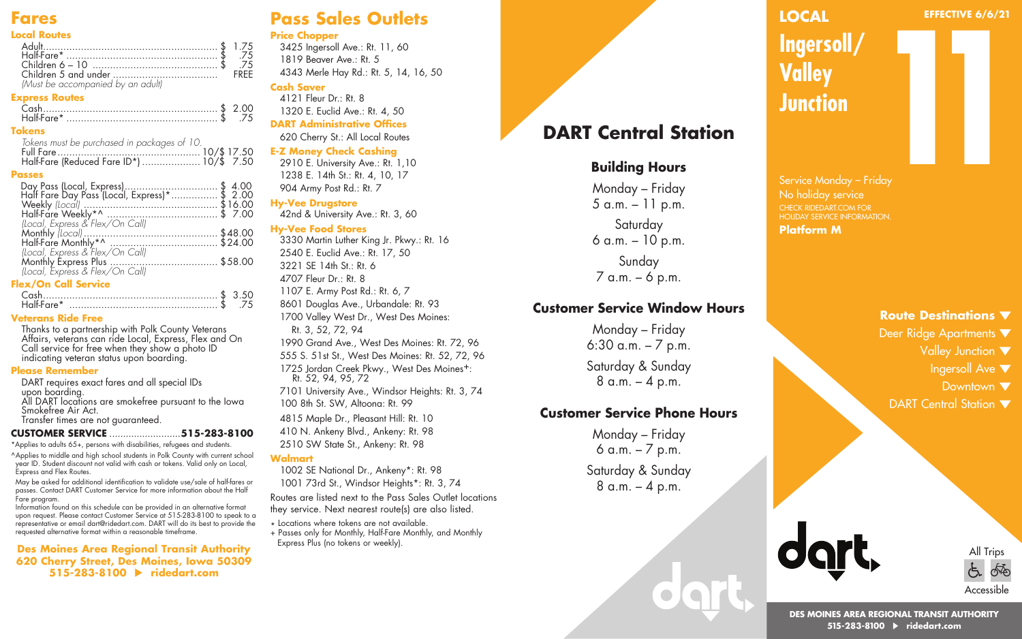## **Fares**

#### **Local Routes**

| 75. \$ .75.                      |  |
|----------------------------------|--|
|                                  |  |
|                                  |  |
| Must be accompanied by an adultl |  |

#### **Express Routes**

| 75 |
|----|

#### **Tokens**

| Tokens must be purchased in packages of 10. |  |
|---------------------------------------------|--|
|                                             |  |
|                                             |  |

#### **Passes**

| Day Pass (Local, Express)\$ 4.00<br>Half Fare Day Pass (Local, Express)*\$ 2.00 |  |
|---------------------------------------------------------------------------------|--|
|                                                                                 |  |
|                                                                                 |  |
|                                                                                 |  |
|                                                                                 |  |
|                                                                                 |  |
| (Local, Express & Flex/On Call)                                                 |  |
|                                                                                 |  |
|                                                                                 |  |
|                                                                                 |  |

#### **Flex/On Call Service**

| Half-Fare* |  |
|------------|--|

#### **Veterans Ride Free**

Thanks to a partnership with Polk County Veterans Affairs, veterans can ride Local, Express, Flex and On Call service for free when they show a photo ID indicating veteran status upon boarding.

#### **Please Remember**

DART requires exact fares and all special IDs upon boarding. All DART locations are smokefree pursuant to the Iowa Smokefree Air Act.

Transfer times are not guaranteed.

#### **CUSTOMER SERVICE** ..........................**515-283-8100**

\*Applies to adults 65+, persons with disabilities, refugees and students.

^Applies to middle and high school students in Polk County with current school year ID. Student discount not valid with cash or tokens. Valid only on Local, Express and Flex Routes.

May be asked for additional identification to validate use/sale of half-fares or passes. Contact DART Customer Service for more information about the Half Fare program.

Information found on this schedule can be provided in an alternative format upon request. Please contact Customer Service at 515-283-8100 to speak to a representative or email dart@ridedart.com. DART will do its best to provide the requested alternative format within a reasonable timeframe.

**Des Moines Area Regional Transit Authority 620 Cherry Street, Des Moines, Iowa 50309 515-283-8100 ridedart.com**

## **Pass Sales Outlets**

#### **Price Chopper**

3425 Ingersoll Ave.: Rt. 11, 60 1819 Beaver Ave.: Rt. 5 4343 Merle Hay Rd.: Rt. 5, 14, 16, 50

#### **Cash Saver**

4121 Fleur Dr.: Rt. 8 1320 E. Euclid Ave.: Rt. 4, 50 **DART Administrative Offices** 620 Cherry St.: All Local Routes

#### **E-Z Money Check Cashing**

2910 E. University Ave.: Rt. 1,10 1238 E. 14th St.: Rt. 4, 10, 17 904 Army Post Rd.: Rt. 7

#### **Hy-Vee Drugstore**

42nd & University Ave.: Rt. 3, 60

#### **Hy-Vee Food Stores**

3330 Martin Luther King Jr. Pkwy.: Rt. 16 2540 E. Euclid Ave.: Rt. 17, 50 3221 SE 14th St.: Rt. 6 4707 Fleur Dr.: Rt. 8 1107 E. Army Post Rd.: Rt. 6, 7 8601 Douglas Ave., Urbandale: Rt. 93 1700 Valley West Dr., West Des Moines: Rt. 3, 52, 72, 94 1990 Grand Ave., West Des Moines: Rt. 72, 96 555 S. 51st St., West Des Moines: Rt. 52, 72, 96 1725 Jordan Creek Pkwy., West Des Moines+: Rt. 52, 94, 95, 72 7101 University Ave., Windsor Heights: Rt. 3, 74 100 8th St. SW, Altoona: Rt. 99

4815 Maple Dr., Pleasant Hill: Rt. 10 410 N. Ankeny Blvd., Ankeny: Rt. 98 2510 SW State St., Ankeny: Rt. 98

#### **Walmart**

1002 SE National Dr., Ankeny\*: Rt. 98 1001 73rd St., Windsor Heights\*: Rt. 3, 74

Routes are listed next to the Pass Sales Outlet locations they service. Next nearest route(s) are also listed.

\* Locations where tokens are not available + Passes only for Monthly, Half-Fare Monthly, and Monthly Express Plus (no tokens or weekly).

## **DART Central Station**

## **Building Hours**

Monday – Friday 5 a.m. – 11 p.m. Saturday 6 a.m. – 10 p.m. Sunday 7 a.m. – 6 p.m.

### **Customer Service Window Hours**

Monday – Friday 6:30 a.m. – 7 p.m. Saturday & Sunday 8 a.m. – 4 p.m.

### **Customer Service Phone Hours**

Monday – Friday 6 a.m. – 7 p.m. Saturday & Sunday 8 a.m. – 4 p.m.

## **LOCAL**

#### **EFFECTIVE 6/6/21**

**Ingersoll/ Valley Junction**

Service Monday – Friday No holiday service CHECK RIDEDART.COM FOR HOLIDAY SERVICE INFORMATION. **Platform M 11**<br>**11**<br>**11**<br>**11**<br>**11**<br>**11** 

### **Route Destinations**

- Deer Ridge Apartments ▼
	- Valley Junction  $\blacktriangledown$ 
		- Ingersoll Ave  $\blacktriangledown$
		- Downtown  $\blacktriangledown$
- DART Central Station  $\blacktriangledown$



All Trips ∱∯ いん Accessible